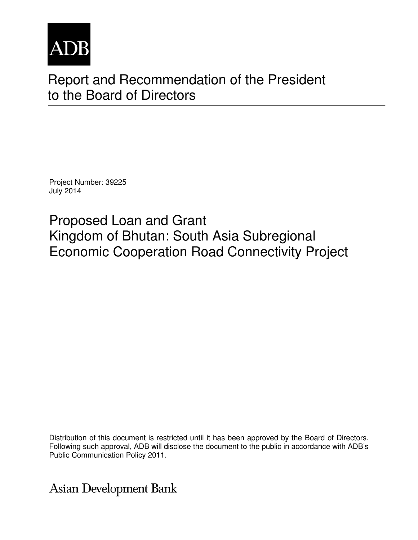

# Report and Recommendation of the President to the Board of Directors

Project Number: 39225 July 2014

Proposed Loan and Grant Kingdom of Bhutan: South Asia Subregional Economic Cooperation Road Connectivity Project

Distribution of this document is restricted until it has been approved by the Board of Directors. Following such approval, ADB will disclose the document to the public in accordance with ADB's Public Communication Policy 2011.

<span id="page-0-0"></span>**Asian Development Bank**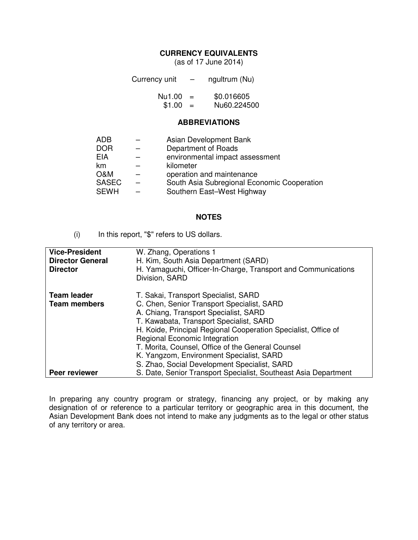#### **CURRENCY EQUIVALENTS**

(as of 17 June 2014)

| Currency unit |     | ngultrum (Nu) |
|---------------|-----|---------------|
| Nu1.00        | $=$ | \$0.016605    |
| \$1.00        | $=$ | Nu60.224500   |

#### **ABBREVIATIONS**

| ADB            | Asian Development Bank                      |
|----------------|---------------------------------------------|
| <b>DOR</b>     | Department of Roads                         |
| <b>EIA</b>     | environmental impact assessment             |
| km             | kilometer                                   |
| <b>O&amp;M</b> | operation and maintenance                   |
| <b>SASEC</b>   | South Asia Subregional Economic Cooperation |
| <b>SEWH</b>    | Southern East-West Highway                  |
|                |                                             |

#### **NOTES**

(i) In this report, "\$" refers to US dollars.

| <b>Vice-President</b><br><b>Director General</b><br><b>Director</b> | W. Zhang, Operations 1<br>H. Kim, South Asia Department (SARD)<br>H. Yamaguchi, Officer-In-Charge, Transport and Communications<br>Division, SARD                                                                                                                                                                              |
|---------------------------------------------------------------------|--------------------------------------------------------------------------------------------------------------------------------------------------------------------------------------------------------------------------------------------------------------------------------------------------------------------------------|
| <b>Team leader</b><br><b>Team members</b>                           | T. Sakai, Transport Specialist, SARD<br>C. Chen, Senior Transport Specialist, SARD<br>A. Chiang, Transport Specialist, SARD<br>T. Kawabata, Transport Specialist, SARD<br>H. Koide, Principal Regional Cooperation Specialist, Office of<br>Regional Economic Integration<br>T. Morita, Counsel, Office of the General Counsel |
| <b>Peer reviewer</b>                                                | K. Yangzom, Environment Specialist, SARD<br>S. Zhao, Social Development Specialist, SARD<br>S. Date, Senior Transport Specialist, Southeast Asia Department                                                                                                                                                                    |

<span id="page-1-5"></span><span id="page-1-4"></span><span id="page-1-3"></span><span id="page-1-2"></span><span id="page-1-1"></span><span id="page-1-0"></span>In preparing any country program or strategy, financing any project, or by making any designation of or reference to a particular territory or geographic area in this document, the Asian Development Bank does not intend to make any judgments as to the legal or other status of any territory or area.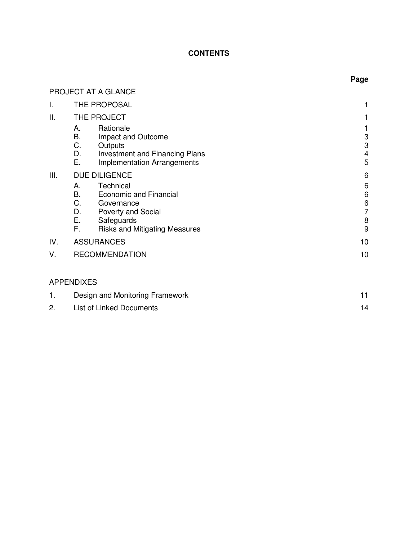## **CONTENTS**

## PROJECT AT A GLANCE

| I.  | THE PROPOSAL                                                                                                                                            |                                          |
|-----|---------------------------------------------------------------------------------------------------------------------------------------------------------|------------------------------------------|
| ΙΙ. | THE PROJECT                                                                                                                                             |                                          |
|     | Rationale<br>А.<br>В.<br>Impact and Outcome<br>C.<br>Outputs<br>D.<br><b>Investment and Financing Plans</b><br>Е.<br><b>Implementation Arrangements</b> | 3<br>$\ensuremath{\mathsf{3}}$<br>4<br>5 |
| Ш.  | <b>DUE DILIGENCE</b><br>Technical<br>А.                                                                                                                 | 6<br>6                                   |
|     | <b>B.</b><br><b>Economic and Financial</b>                                                                                                              | 6                                        |
|     | C.<br>Governance<br>D.<br><b>Poverty and Social</b>                                                                                                     | $\,6$<br>$\overline{7}$                  |
|     | E., 197<br>Safeguards                                                                                                                                   | 8                                        |
|     | F.<br><b>Risks and Mitigating Measures</b>                                                                                                              | 9                                        |
| IV. | <b>ASSURANCES</b>                                                                                                                                       | 10                                       |
| V.  | <b>RECOMMENDATION</b>                                                                                                                                   | 10                                       |
|     |                                                                                                                                                         |                                          |
|     | <b>APPENDIXES</b>                                                                                                                                       |                                          |
| 1.  | Design and Monitoring Framework                                                                                                                         | 11                                       |

<span id="page-2-1"></span><span id="page-2-0"></span>2. List of Linked Documents 14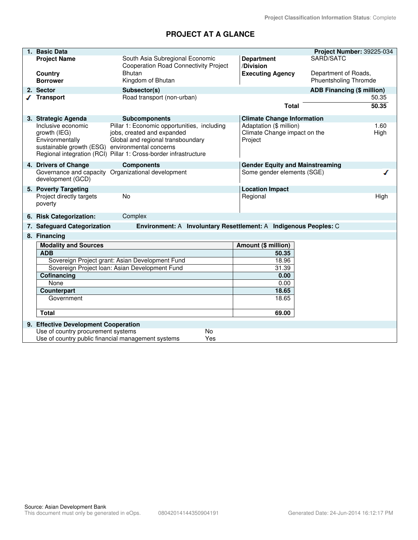## **PROJECT AT A GLANCE**

<span id="page-4-1"></span><span id="page-4-0"></span>

| 1. | <b>Basic Data</b>                                                                                        |                                                                                                                                                                                    |                                                                    | Project Number: 39225-034                            |
|----|----------------------------------------------------------------------------------------------------------|------------------------------------------------------------------------------------------------------------------------------------------------------------------------------------|--------------------------------------------------------------------|------------------------------------------------------|
|    | <b>Project Name</b>                                                                                      | South Asia Subregional Economic<br><b>Cooperation Road Connectivity Project</b>                                                                                                    | <b>Department</b><br>/Division                                     | SARD/SATC                                            |
|    | <b>Country</b><br><b>Borrower</b>                                                                        | <b>Bhutan</b><br>Kingdom of Bhutan                                                                                                                                                 | <b>Executing Agency</b>                                            | Department of Roads,<br><b>Phuentsholing Thromde</b> |
|    | 2. Sector                                                                                                | Subsector(s)                                                                                                                                                                       |                                                                    | ADB Financing (\$ million)                           |
|    | <b>Transport</b>                                                                                         | Road transport (non-urban)                                                                                                                                                         |                                                                    | 50.35                                                |
|    |                                                                                                          |                                                                                                                                                                                    | <b>Total</b>                                                       | 50.35                                                |
|    | 3. Strategic Agenda                                                                                      | <b>Subcomponents</b>                                                                                                                                                               | <b>Climate Change Information</b>                                  |                                                      |
|    | Inclusive economic<br>growth (IEG)<br>Environmentally<br>sustainable growth (ESG) environmental concerns | Pillar 1: Economic opportunities, including<br>jobs, created and expanded<br>Global and regional transboundary<br>Regional integration (RCI) Pillar 1: Cross-border infrastructure | Adaptation (\$ million)<br>Climate Change impact on the<br>Project | 1.60<br>High                                         |
|    | 4. Drivers of Change                                                                                     | <b>Components</b>                                                                                                                                                                  | <b>Gender Equity and Mainstreaming</b>                             |                                                      |
|    | development (GCD)                                                                                        | Governance and capacity Organizational development                                                                                                                                 | Some gender elements (SGE)                                         |                                                      |
|    | 5. Poverty Targeting                                                                                     |                                                                                                                                                                                    | <b>Location Impact</b>                                             |                                                      |
|    | Project directly targets<br>poverty                                                                      | <b>No</b>                                                                                                                                                                          | Regional                                                           | High                                                 |
|    | 6. Risk Categorization:                                                                                  | Complex                                                                                                                                                                            |                                                                    |                                                      |
|    | 7. Safeguard Categorization                                                                              | Environment: A Involuntary Resettlement: A Indigenous Peoples: C                                                                                                                   |                                                                    |                                                      |
|    | 8. Financing                                                                                             |                                                                                                                                                                                    |                                                                    |                                                      |
|    | <b>Modality and Sources</b>                                                                              |                                                                                                                                                                                    | Amount (\$ million)                                                |                                                      |
|    | <b>ADB</b>                                                                                               |                                                                                                                                                                                    | 50.35                                                              |                                                      |
|    |                                                                                                          | Sovereign Project grant: Asian Development Fund                                                                                                                                    | 18.96                                                              |                                                      |
|    | <b>Cofinancing</b>                                                                                       | Sovereign Project Ioan: Asian Development Fund                                                                                                                                     | 31.39<br>0.00                                                      |                                                      |
|    | None                                                                                                     |                                                                                                                                                                                    | 0.00                                                               |                                                      |
|    | <b>Counterpart</b>                                                                                       |                                                                                                                                                                                    | 18.65                                                              |                                                      |
|    | Government                                                                                               |                                                                                                                                                                                    | 18.65                                                              |                                                      |
|    | <b>Total</b>                                                                                             |                                                                                                                                                                                    | 69.00                                                              |                                                      |
|    |                                                                                                          |                                                                                                                                                                                    |                                                                    |                                                      |
|    | 9. Effective Development Cooperation<br>Use of country procurement systems                               | <b>No</b>                                                                                                                                                                          |                                                                    |                                                      |
|    | Use of country public financial management systems                                                       | Yes                                                                                                                                                                                |                                                                    |                                                      |
|    |                                                                                                          |                                                                                                                                                                                    |                                                                    |                                                      |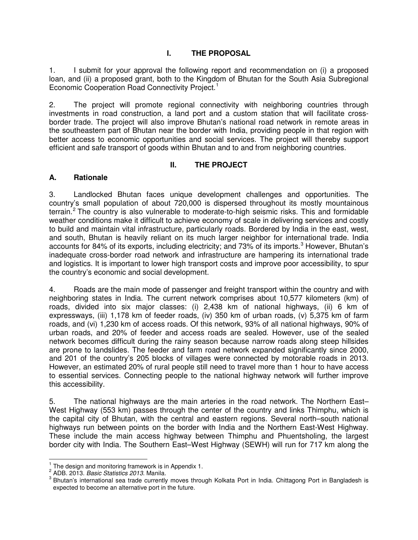#### **I. THE PROPOSAL**

1. I submit for your approval the following report and recommendation on (i) a proposed loan, and (ii) a proposed grant, both to the Kingdom of Bhutan for the South Asia Subregional Economic Cooperation Road Connectivity Project.<sup>1</sup>

2. The project will promote regional connectivity with neighboring countries through investments in road construction, a land port and a custom station that will facilitate crossborder trade. The project will also improve Bhutan's national road network in remote areas in the southeastern part of Bhutan near the border with India, providing people in that region with better access to economic opportunities and social services. The project will thereby support efficient and safe transport of goods within Bhutan and to and from neighboring countries.

#### **II. THE PROJECT**

#### **A. Rationale**

3. Landlocked Bhutan faces unique development challenges and opportunities. The country's small population of about 720,000 is dispersed throughout its mostly mountainous terrain.<sup>2</sup> The country is also vulnerable to moderate-to-high seismic risks. This and formidable weather conditions make it difficult to achieve economy of scale in delivering services and costly to build and maintain vital infrastructure, particularly roads. Bordered by India in the east, west, and south, Bhutan is heavily reliant on its much larger neighbor for international trade. India accounts for 84% of its exports, including electricity; and 73% of its imports.<sup>3</sup> However, Bhutan's inadequate cross-border road network and infrastructure are hampering its international trade and logistics. It is important to lower high transport costs and improve poor accessibility, to spur the country's economic and social development.

4. Roads are the main mode of passenger and freight transport within the country and with neighboring states in India. The current network comprises about 10,577 kilometers (km) of roads, divided into six major classes: (i) 2,438 km of national highways, (ii) 6 km of expressways, (iii) 1,178 km of feeder roads, (iv) 350 km of urban roads, (v) 5,375 km of farm roads, and (vi) 1,230 km of access roads. Of this network, 93% of all national highways, 90% of urban roads, and 20% of feeder and access roads are sealed. However, use of the sealed network becomes difficult during the rainy season because narrow roads along steep hillsides are prone to landslides. The feeder and farm road network expanded significantly since 2000, and 201 of the country's 205 blocks of villages were connected by motorable roads in 2013. However, an estimated 20% of rural people still need to travel more than 1 hour to have access to essential services. Connecting people to the national highway network will further improve this accessibility.

5. The national highways are the main arteries in the road network. The Northern East– West Highway (553 km) passes through the center of the country and links Thimphu, which is the capital city of Bhutan, with the central and eastern regions. Several north–south national highways run between points on the border with India and the Northern East-West Highway. These include the main access highway between Thimphu and Phuentsholing, the largest border city with India. The Southern East–West Highway (SEWH) will run for 717 km along the

 $1$  The design and monitoring framework is in Appendix 1.  $\overline{a}$ 

<sup>2</sup> ADB. 2013. *Basic Statistics 2013*. Manila.

<span id="page-6-0"></span><sup>&</sup>lt;sup>3</sup> Bhutan's international sea trade currently moves through Kolkata Port in India. Chittagong Port in Bangladesh is expected to become an alternative port in the future.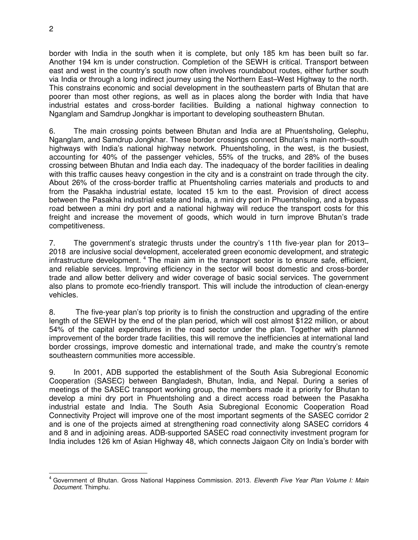border with India in the south when it is complete, but only 185 km has been built so far. Another 194 km is under construction. Completion of the SEWH is critical. Transport between east and west in the country's south now often involves roundabout routes, either further south via India or through a long indirect journey using the Northern East–West Highway to the north. This constrains economic and social development in the southeastern parts of Bhutan that are poorer than most other regions, as well as in places along the border with India that have industrial estates and cross-border facilities. Building a national highway connection to Nganglam and Samdrup Jongkhar is important to developing southeastern Bhutan.

6. The main crossing points between Bhutan and India are at Phuentsholing, Gelephu, Nganglam, and Samdrup Jongkhar. These border crossings connect Bhutan's main north–south highways with India's national highway network. Phuentsholing, in the west, is the busiest, accounting for 40% of the passenger vehicles, 55% of the trucks, and 28% of the buses crossing between Bhutan and India each day. The inadequacy of the border facilities in dealing with this traffic causes heavy congestion in the city and is a constraint on trade through the city. About 26% of the cross-border traffic at Phuentsholing carries materials and products to and from the Pasakha industrial estate, located 15 km to the east. Provision of direct access between the Pasakha industrial estate and India, a mini dry port in Phuentsholing, and a bypass road between a mini dry port and a national highway will reduce the transport costs for this freight and increase the movement of goods, which would in turn improve Bhutan's trade competitiveness.

7. The government's strategic thrusts under the country's 11th five-year plan for 2013– 2018 are inclusive social development, accelerated green economic development, and strategic infrastructure development.<sup>[4](#page-0-0)</sup> The main aim in the transport sector is to ensure safe, efficient, and reliable services. Improving efficiency in the sector will boost domestic and cross-border trade and allow better delivery and wider coverage of basic social services. The government also plans to promote eco-friendly transport. This will include the introduction of clean-energy vehicles.

8. The five-year plan's top priority is to finish the construction and upgrading of the entire length of the SEWH by the end of the plan period, which will cost almost \$122 million, or about 54% of the capital expenditures in the road sector under the plan. Together with planned improvement of the border trade facilities, this will remove the inefficiencies at international land border crossings, improve domestic and international trade, and make the country's remote southeastern communities more accessible.

9. In 2001, ADB supported the establishment of the South Asia Subregional Economic Cooperation (SASEC) between Bangladesh, Bhutan, India, and Nepal. During a series of meetings of the SASEC transport working group, the members made it a priority for Bhutan to develop a mini dry port in Phuentsholing and a direct access road between the Pasakha industrial estate and India. The South Asia Subregional Economic Cooperation Road Connectivity Project will improve one of the most important segments of the SASEC corridor 2 and is one of the projects aimed at strengthening road connectivity along SASEC corridors 4 and 8 and in adjoining areas. ADB-supported SASEC road connectivity investment program for India includes 126 km of Asian Highway 48, which connects Jaigaon City on India's border with

<span id="page-7-0"></span><sup>4</sup> Government of Bhutan. Gross National Happiness Commission. 2013. *Eleventh Five Year Plan Volume I: Main Document*. Thimphu.  $\overline{a}$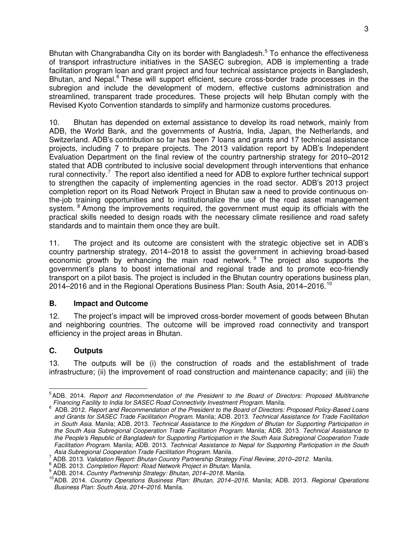Bhutan with Changrabandha City on its border with Bangladesh.<sup>[5](#page-1-0)</sup> To enhance the effectiveness of transport infrastructure initiatives in the SASEC subregion, ADB is implementing a trade facilitation program loan and grant project and four technical assistance projects in Bangladesh, Bhutan, and Nepal.<sup>[6](#page-1-1)</sup> These will support efficient, secure cross-border trade processes in the subregion and include the development of modern, effective customs administration and streamlined, transparent trade procedures. These projects will help Bhutan comply with the Revised Kyoto Convention standards to simplify and harmonize customs procedures.

10. Bhutan has depended on external assistance to develop its road network, mainly from ADB, the World Bank, and the governments of Austria, India, Japan, the Netherlands, and Switzerland. ADB's contribution so far has been 7 loans and grants and 17 technical assistance projects, including 7 to prepare projects. The 2013 validation report by ADB's Independent Evaluation Department on the final review of the country partnership strategy for 2010–2012 stated that ADB contributed to inclusive social development through interventions that enhance rural connectivity.<sup>[7](#page-1-2)</sup> The report also identified a need for ADB to explore further technical support to strengthen the capacity of implementing agencies in the road sector. ADB's 2013 project completion report on its Road Network Project in Bhutan saw a need to provide continuous onthe-job training opportunities and to institutionalize the use of the road asset management system. <sup>[8](#page-1-3)</sup> Among the improvements required, the government must equip its officials with the practical skills needed to design roads with the necessary climate resilience and road safety standards and to maintain them once they are built.

11. The project and its outcome are consistent with the strategic objective set in ADB's country partnership strategy, 2014–2018 to assist the government in achieving broad-based economic growth by enhancing the main road network. <sup>[9](#page-1-4)</sup> The project also supports the government's plans to boost international and regional trade and to promote eco-friendly transport on a pilot basis. The project is included in the Bhutan country operations business plan, 2014–2016 and in the Regional Operations Business Plan: South Asia, 2014–2016.<sup>[10](#page-1-5)</sup>

#### **B. Impact and Outcome**

12. The project's impact will be improved cross-border movement of goods between Bhutan and neighboring countries. The outcome will be improved road connectivity and transport efficiency in the project areas in Bhutan.

#### **C. Outputs**

13. The outputs will be (i) the construction of roads and the establishment of trade infrastructure; (ii) the improvement of road construction and maintenance capacity; and (iii) the

<sup>5</sup> ADB. 2014. *Report and Recommendation of the President to the Board of Directors: Proposed Multitranche Financing Facility to India for SASEC Road Connectivity Investment Program.* Manila. 6  $\overline{a}$ 

ADB. 2012. *Report and Recommendation of the President to the Board of Directors: Proposed Policy-Based Loans and Grants for SASEC Trade Facilitation Program*. Manila; ADB. 2013. *Technical Assistance for Trade Facilitation in South Asia.* Manila; ADB. 2013. *Technical Assistance to the Kingdom of Bhutan for Supporting Participation in the South Asia Subregional Cooperation Trade Facilitation Program.* Manila; ADB. 2013. *Technical Assistance to the People's Republic of Bangladesh for Supporting Participation in the South Asia Subregional Cooperation Trade Facilitation Program.* Manila; ADB. 2013. *Technical Assistance to Nepal for Supporting Participation in the South Asia Subregional Cooperation Trade Facilitation Program.* Manila.

<sup>7</sup> ADB. 2013. *Validation Report: Bhutan Country Partnership Strategy Final Review, 2010–2012.* Manila.

<sup>8</sup> ADB. 2013. *Completion Report: Road Network Project in Bhutan.* Manila.

<sup>9</sup> ADB. 2014. *Country Partnership Strategy: Bhutan, 2014–2018*. Manila.

<sup>10</sup>ADB. 2014. *Country Operations Business Plan: Bhutan, 2014–2016.* Manila; ADB. 2013. *Regional Operations Business Plan: South Asia, 2014–2016*. Manila.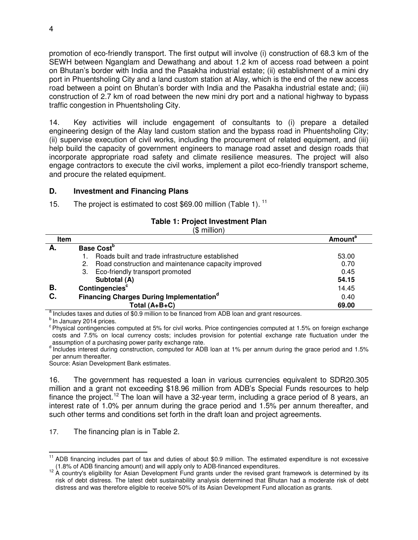promotion of eco-friendly transport. The first output will involve (i) construction of 68.3 km of the SEWH between Nganglam and Dewathang and about 1.2 km of access road between a point on Bhutan's border with India and the Pasakha industrial estate; (ii) establishment of a mini dry port in Phuentsholing City and a land custom station at Alay, which is the end of the new access road between a point on Bhutan's border with India and the Pasakha industrial estate and; (iii) construction of 2.7 km of road between the new mini dry port and a national highway to bypass traffic congestion in Phuentsholing City.

14. Key activities will include engagement of consultants to (i) prepare a detailed engineering design of the Alay land custom station and the bypass road in Phuentsholing City; (ii) supervise execution of civil works, including the procurement of related equipment, and (iii) help build the capacity of government engineers to manage road asset and design roads that incorporate appropriate road safety and climate resilience measures. The project will also engage contractors to execute the civil works, implement a pilot eco-friendly transport scheme, and procure the related equipment.

#### **D. Investment and Financing Plans**

15. The project is estimated to cost \$69.00 million (Table 1).<sup>[11](#page-2-0)</sup>

#### **Table 1: Project Investment Plan**

(\$ million)

| <b>Item</b> |                                                                                                   | <b>Amount<sup>a</sup></b> |
|-------------|---------------------------------------------------------------------------------------------------|---------------------------|
| А.          | Base Cost <sup>b</sup>                                                                            |                           |
|             | Roads built and trade infrastructure established                                                  | 53.00                     |
|             | Road construction and maintenance capacity improved<br>2.                                         | 0.70                      |
|             | Eco-friendly transport promoted<br>3.                                                             | 0.45                      |
|             | Subtotal (A)                                                                                      | 54.15                     |
| В.          | Contingencies <sup>c</sup>                                                                        | 14.45                     |
| C.          | <b>Financing Charges During Implementation</b> <sup>d</sup>                                       | 0.40                      |
|             | Total $(A+B+C)$                                                                                   | 69.00                     |
|             | a tradicate a term of station of 00.0 million to be fined as there ADD lease and speak as a super |                           |

Includes taxes and duties of \$0.9 million to be financed from ADB loan and grant resources.

 $<sup>b</sup>$  In January 2014 prices.</sup>

<sup>c</sup> Physical contingencies computed at 5% for civil works. Price contingencies computed at 1.5% on foreign exchange costs and 7.5% on local currency costs; includes provision for potential exchange rate fluctuation under the assumption of a purchasing power parity exchange rate.

<sup>d</sup> Includes interest during construction, computed for ADB loan at 1% per annum during the grace period and 1.5% per annum thereafter.

Source: Asian Development Bank estimates.

16. The government has requested a loan in various currencies equivalent to SDR20.305 million and a grant not exceeding \$18.96 million from ADB's Special Funds resources to help finance the project.<sup>[12](#page-2-1)</sup> The loan will have a 32-year term, including a grace period of 8 years, an interest rate of 1.0% per annum during the grace period and 1.5% per annum thereafter, and such other terms and conditions set forth in the draft loan and project agreements.

17. The financing plan is in Table 2.

<sup>&</sup>lt;sup>11</sup> ADB financing includes part of tax and duties of about \$0.9 million. The estimated expenditure is not excessive (1.8% of ADB financing amount) and will apply only to ADB-financed expenditures.  $\overline{a}$ 

 $12$  A country's eligibility for Asian Development Fund grants under the revised grant framework is determined by its risk of debt distress. The latest debt sustainability analysis determined that Bhutan had a moderate risk of debt distress and was therefore eligible to receive 50% of its Asian Development Fund allocation as grants.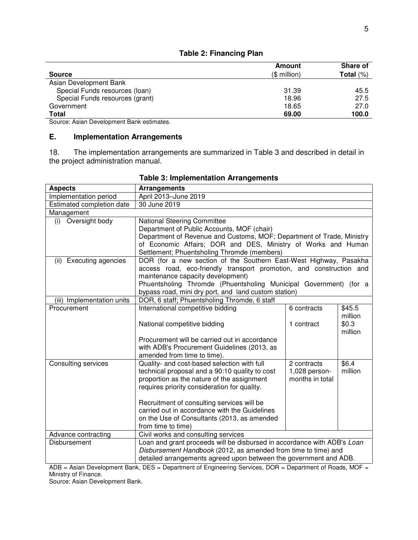|                                 | Amount        | <b>Share of</b> |
|---------------------------------|---------------|-----------------|
| <b>Source</b>                   | $($$ million) | Total $(\%)$    |
| Asian Development Bank          |               |                 |
| Special Funds resources (Ioan)  | 31.39         | 45.5            |
| Special Funds resources (grant) | 18.96         | 27.5            |
| Government                      | 18.65         | 27.0            |
| Total                           | 69.00         | 100.0           |

#### **Table 2: Financing Plan**

Source: Asian Development Bank estimates.

#### **E. Implementation Arrangements**

18. The implementation arrangements are summarized in Table 3 and described in detail in the project administration manual.

| <b>Aspects</b>                    | <b>Arrangements</b>                                                        |                 |         |
|-----------------------------------|----------------------------------------------------------------------------|-----------------|---------|
| Implementation period             | April 2013-June 2019                                                       |                 |         |
| Estimated completion date         | 30 June 2019                                                               |                 |         |
| Management                        |                                                                            |                 |         |
| Oversight body<br>(i)             | <b>National Steering Committee</b>                                         |                 |         |
|                                   | Department of Public Accounts, MOF (chair)                                 |                 |         |
|                                   | Department of Revenue and Customs, MOF; Department of Trade, Ministry      |                 |         |
|                                   | of Economic Affairs; DOR and DES, Ministry of Works and Human              |                 |         |
|                                   | Settlement; Phuentsholing Thromde (members)                                |                 |         |
| <b>Executing agencies</b><br>(ii) | DOR (for a new section of the Southern East-West Highway, Pasakha          |                 |         |
|                                   | access road, eco-friendly transport promotion, and construction and        |                 |         |
|                                   | maintenance capacity development)                                          |                 |         |
|                                   | Phuentsholing Thromde (Phuentsholing Municipal Government) (for a          |                 |         |
|                                   | bypass road, mini dry port, and land custom station)                       |                 |         |
| (iii) Implementation units        | DOR, 6 staff; Phuentsholing Thromde, 6 staff                               |                 |         |
| Procurement                       | International competitive bidding                                          | 6 contracts     | \$45.5  |
|                                   |                                                                            |                 | million |
|                                   | National competitive bidding                                               | 1 contract      | \$0.3   |
|                                   |                                                                            |                 | million |
|                                   | Procurement will be carried out in accordance                              |                 |         |
|                                   | with ADB's Procurement Guidelines (2013, as<br>amended from time to time). |                 |         |
| <b>Consulting services</b>        | Quality- and cost-based selection with full                                | 2 contracts     | \$6.4   |
|                                   | technical proposal and a 90:10 quality to cost                             | 1,028 person-   | million |
|                                   | proportion as the nature of the assignment                                 | months in total |         |
|                                   | requires priority consideration for quality.                               |                 |         |
|                                   |                                                                            |                 |         |
|                                   | Recruitment of consulting services will be                                 |                 |         |
|                                   | carried out in accordance with the Guidelines                              |                 |         |
|                                   | on the Use of Consultants (2013, as amended                                |                 |         |
|                                   | from time to time)                                                         |                 |         |
| Advance contracting               | Civil works and consulting services                                        |                 |         |
| Disbursement                      | Loan and grant proceeds will be disbursed in accordance with ADB's Loan    |                 |         |
|                                   | Disbursement Handbook (2012, as amended from time to time) and             |                 |         |
|                                   | detailed arrangements agreed upon between the government and ADB.          |                 |         |
|                                   |                                                                            |                 |         |

## **Table 3: Implementation Arrangements**

ADB = Asian Development Bank, DES = Department of Engineering Services, DOR = Department of Roads, MOF = Ministry of Finance.

Source: Asian Development Bank.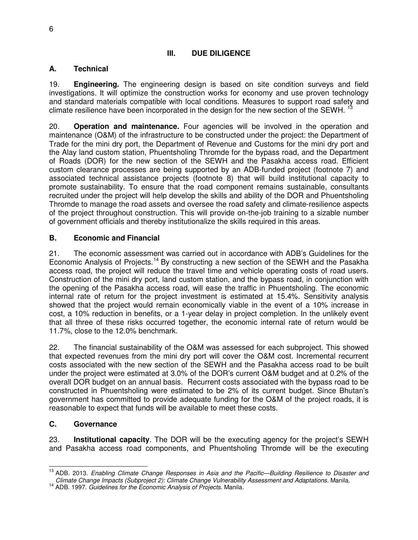#### **III. DUE DILIGENCE**

#### **A. Technical**

19. **Engineering.** The engineering design is based on site condition surveys and field investigations. It will optimize the construction works for economy and use proven technology and standard materials compatible with local conditions. Measures to support road safety and climate resilience have been incorporated in the design for the new section of the SEWH.  $13$ 

20. **Operation and maintenance.** Four agencies will be involved in the operation and maintenance (O&M) of the infrastructure to be constructed under the project: the Department of Trade for the mini dry port, the Department of Revenue and Customs for the mini dry port and the Alay land custom station, Phuentsholing Thromde for the bypass road, and the Department of Roads (DOR) for the new section of the SEWH and the Pasakha access road. Efficient custom clearance processes are being supported by an ADB-funded project (footnote 7) and associated technical assistance projects (footnote 8) that will build institutional capacity to promote sustainability. To ensure that the road component remains sustainable, consultants recruited under the project will help develop the skills and ability of the DOR and Phuentsholing Thromde to manage the road assets and oversee the road safety and climate-resilience aspects of the project throughout construction. This will provide on-the-job training to a sizable number of government officials and thereby institutionalize the skills required in this areas.

#### **B. Economic and Financial**

21. The economic assessment was carried out in accordance with ADB's Guidelines for the Economic Analysis of Projects.<sup>[14](#page-4-1)</sup> By constructing a new section of the SEWH and the Pasakha access road, the project will reduce the travel time and vehicle operating costs of road users. Construction of the mini dry port, land custom station, and the bypass road, in conjunction with the opening of the Pasakha access road, will ease the traffic in Phuentsholing. The economic internal rate of return for the project investment is estimated at 15.4%. Sensitivity analysis showed that the project would remain economically viable in the event of a 10% increase in cost, a 10% reduction in benefits, or a 1-year delay in project completion. In the unlikely event that all three of these risks occurred together, the economic internal rate of return would be 11.7%, close to the 12.0% benchmark.

22. The financial sustainability of the O&M was assessed for each subproject. This showed that expected revenues from the mini dry port will cover the O&M cost. Incremental recurrent costs associated with the new section of the SEWH and the Pasakha access road to be built under the project were estimated at 3.0% of the DOR's current O&M budget and at 0.2% of the overall DOR budget on an annual basis. Recurrent costs associated with the bypass road to be constructed in Phuentsholing were estimated to be 2% of its current budget. Since Bhutan's government has committed to provide adequate funding for the O&M of the project roads, it is reasonable to expect that funds will be available to meet these costs.

#### **C. Governance**

23. **Institutional capacity**. The DOR will be the executing agency for the project's SEWH and Pasakha access road components, and Phuentsholing Thromde will be the executing

<sup>13</sup> ADB. 2013. *Enabling Climate Change Responses in Asia and the Pacific—Building Resilience to Disaster and Climate Change Impacts (Subproject 2): Climate Change Vulnerability Assessment and Adaptations.* Manila.  $\overline{a}$ 

<sup>14</sup> ADB. 1997. *Guidelines for the Economic Analysis of Projects.* Manila.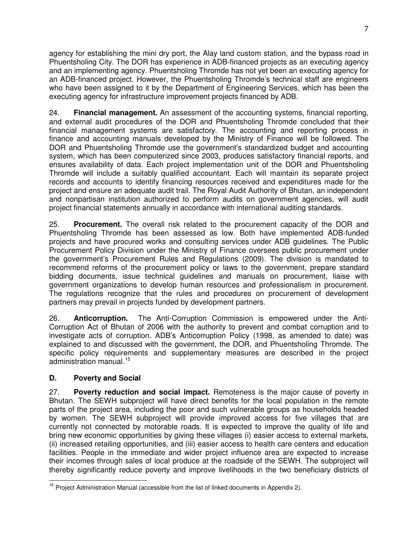agency for establishing the mini dry port, the Alay land custom station, and the bypass road in Phuentsholing City. The DOR has experience in ADB-financed projects as an executing agency and an implementing agency. Phuentsholing Thromde has not yet been an executing agency for an ADB-financed project. However, the Phuentsholing Thromde's technical staff are engineers who have been assigned to it by the Department of Engineering Services, which has been the executing agency for infrastructure improvement projects financed by ADB.

24. **Financial management.** An assessment of the accounting systems, financial reporting, and external audit procedures of the DOR and Phuentsholing Thromde concluded that their financial management systems are satisfactory. The accounting and reporting process in finance and accounting manuals developed by the Ministry of Finance will be followed. The DOR and Phuentsholing Thromde use the government's standardized budget and accounting system, which has been computerized since 2003, produces satisfactory financial reports, and ensures availability of data. Each project implementation unit of the DOR and Phuentsholing Thromde will include a suitably qualified accountant. Each will maintain its separate project records and accounts to identify financing resources received and expenditures made for the project and ensure an adequate audit trail. The Royal Audit Authority of Bhutan, an independent and nonpartisan institution authorized to perform audits on government agencies, will audit project financial statements annually in accordance with international auditing standards.

25. **Procurement.** The overall risk related to the procurement capacity of the DOR and Phuentsholing Thromde has been assessed as low. Both have implemented ADB-funded projects and have procured works and consulting services under ADB guidelines. The Public Procurement Policy Division under the Ministry of Finance oversees public procurement under the government's Procurement Rules and Regulations (2009). The division is mandated to recommend reforms of the procurement policy or laws to the government, prepare standard bidding documents, issue technical guidelines and manuals on procurement, liaise with government organizations to develop human resources and professionalism in procurement. The regulations recognize that the rules and procedures on procurement of development partners may prevail in projects funded by development partners.

26. **Anticorruption.** The Anti-Corruption Commission is empowered under the Anti-Corruption Act of Bhutan of 2006 with the authority to prevent and combat corruption and to investigate acts of corruption. ADB's Anticorruption Policy (1998, as amended to date) was explained to and discussed with the government, the DOR, and Phuentsholing Thromde. The specific policy requirements and supplementary measures are described in the project administration manual.[15](#page-5-0)

#### **D. Poverty and Social**

27. **Poverty reduction and social impact.** Remoteness is the major cause of poverty in Bhutan. The SEWH subproject will have direct benefits for the local population in the remote parts of the project area, including the poor and such vulnerable groups as households headed by women. The SEWH subproject will provide improved access for five villages that are currently not connected by motorable roads. It is expected to improve the quality of life and bring new economic opportunities by giving these villages (i) easier access to external markets, (ii) increased retailing opportunities, and (iii) easier access to health care centers and education facilities. People in the immediate and wider project influence area are expected to increase their incomes through sales of local produce at the roadside of the SEWH. The subproject will thereby significantly reduce poverty and improve livelihoods in the two beneficiary districts of

<sup>&</sup>lt;sup>15</sup> Project Administration Manual (accessible from the list of linked documents in Appendix 2).  $\overline{a}$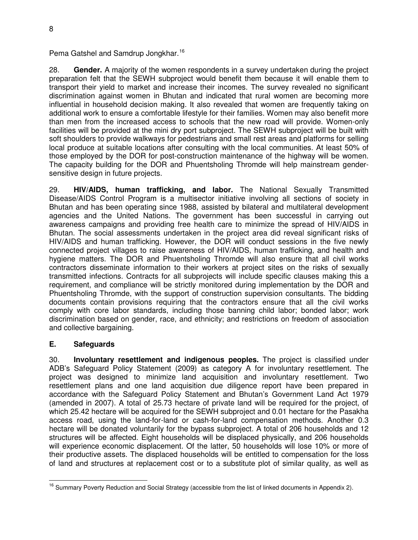Pema Gatshel and Samdrup Jongkhar.<sup>[16](#page-6-0)</sup>

28. **Gender.** A majority of the women respondents in a survey undertaken during the project preparation felt that the SEWH subproject would benefit them because it will enable them to transport their yield to market and increase their incomes. The survey revealed no significant discrimination against women in Bhutan and indicated that rural women are becoming more influential in household decision making. It also revealed that women are frequently taking on additional work to ensure a comfortable lifestyle for their families. Women may also benefit more than men from the increased access to schools that the new road will provide. Women-only facilities will be provided at the mini dry port subproject. The SEWH subproject will be built with soft shoulders to provide walkways for pedestrians and small rest areas and platforms for selling local produce at suitable locations after consulting with the local communities. At least 50% of those employed by the DOR for post-construction maintenance of the highway will be women. The capacity building for the DOR and Phuentsholing Thromde will help mainstream gendersensitive design in future projects.

29. **HIV/AIDS, human trafficking, and labor.** The National Sexually Transmitted Disease/AIDS Control Program is a multisector initiative involving all sections of society in Bhutan and has been operating since 1988, assisted by bilateral and multilateral development agencies and the United Nations. The government has been successful in carrying out awareness campaigns and providing free health care to minimize the spread of HIV/AIDS in Bhutan. The social assessments undertaken in the project area did reveal significant risks of HIV/AIDS and human trafficking. However, the DOR will conduct sessions in the five newly connected project villages to raise awareness of HIV/AIDS, human trafficking, and health and hygiene matters. The DOR and Phuentsholing Thromde will also ensure that all civil works contractors disseminate information to their workers at project sites on the risks of sexually transmitted infections. Contracts for all subprojects will include specific clauses making this a requirement, and compliance will be strictly monitored during implementation by the DOR and Phuentsholing Thromde, with the support of construction supervision consultants. The bidding documents contain provisions requiring that the contractors ensure that all the civil works comply with core labor standards, including those banning child labor; bonded labor; work discrimination based on gender, race, and ethnicity; and restrictions on freedom of association and collective bargaining.

#### **E. Safeguards**

30. **Involuntary resettlement and indigenous peoples.** The project is classified under ADB's Safeguard Policy Statement (2009) as category A for involuntary resettlement. The project was designed to minimize land acquisition and involuntary resettlement. Two resettlement plans and one land acquisition due diligence report have been prepared in accordance with the Safeguard Policy Statement and Bhutan's Government Land Act 1979 (amended in 2007). A total of 25.73 hectare of private land will be required for the project, of which 25.42 hectare will be acquired for the SEWH subproject and 0.01 hectare for the Pasakha access road, using the land-for-land or cash-for-land compensation methods. Another 0.3 hectare will be donated voluntarily for the bypass subproject. A total of 206 households and 12 structures will be affected. Eight households will be displaced physically, and 206 households will experience economic displacement. Of the latter, 50 households will lose 10% or more of their productive assets. The displaced households will be entitled to compensation for the loss of land and structures at replacement cost or to a substitute plot of similar quality, as well as

<sup>&</sup>lt;sup>16</sup> Summary Poverty Reduction and Social Strategy (accessible from the list of linked documents in Appendix 2).  $\overline{a}$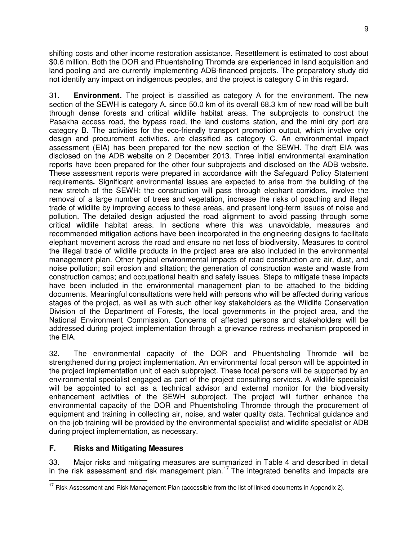shifting costs and other income restoration assistance. Resettlement is estimated to cost about \$0.6 million. Both the DOR and Phuentsholing Thromde are experienced in land acquisition and land pooling and are currently implementing ADB-financed projects. The preparatory study did not identify any impact on indigenous peoples, and the project is category C in this regard.

31. **Environment.** The project is classified as category A for the environment. The new section of the SEWH is category A, since 50.0 km of its overall 68.3 km of new road will be built through dense forests and critical wildlife habitat areas. The subprojects to construct the Pasakha access road, the bypass road, the land customs station, and the mini dry port are category B. The activities for the eco-friendly transport promotion output, which involve only design and procurement activities, are classified as category C. An environmental impact assessment (EIA) has been prepared for the new section of the SEWH. The draft EIA was disclosed on the ADB website on 2 December 2013. Three initial environmental examination reports have been prepared for the other four subprojects and disclosed on the ADB website. These assessment reports were prepared in accordance with the Safeguard Policy Statement requirements**.** Significant environmental issues are expected to arise from the building of the new stretch of the SEWH: the construction will pass through elephant corridors, involve the removal of a large number of trees and vegetation, increase the risks of poaching and illegal trade of wildlife by improving access to these areas, and present long-term issues of noise and pollution. The detailed design adjusted the road alignment to avoid passing through some critical wildlife habitat areas. In sections where this was unavoidable, measures and recommended mitigation actions have been incorporated in the engineering designs to facilitate elephant movement across the road and ensure no net loss of biodiversity. Measures to control the illegal trade of wildlife products in the project area are also included in the environmental management plan. Other typical environmental impacts of road construction are air, dust, and noise pollution; soil erosion and siltation; the generation of construction waste and waste from construction camps; and occupational health and safety issues. Steps to mitigate these impacts have been included in the environmental management plan to be attached to the bidding documents. Meaningful consultations were held with persons who will be affected during various stages of the project, as well as with such other key stakeholders as the Wildlife Conservation Division of the Department of Forests, the local governments in the project area, and the National Environment Commission. Concerns of affected persons and stakeholders will be addressed during project implementation through a grievance redress mechanism proposed in the EIA.

32. The environmental capacity of the DOR and Phuentsholing Thromde will be strengthened during project implementation. An environmental focal person will be appointed in the project implementation unit of each subproject. These focal persons will be supported by an environmental specialist engaged as part of the project consulting services. A wildlife specialist will be appointed to act as a technical advisor and external monitor for the biodiversity enhancement activities of the SEWH subproject. The project will further enhance the environmental capacity of the DOR and Phuentsholing Thromde through the procurement of equipment and training in collecting air, noise, and water quality data. Technical guidance and on-the-job training will be provided by the environmental specialist and wildlife specialist or ADB during project implementation, as necessary.

#### **F. Risks and Mitigating Measures**

33. Major risks and mitigating measures are summarized in Table 4 and described in detail in the risk assessment and risk management plan.<sup>[17](#page-7-0)</sup> The integrated benefits and impacts are

 $17$  Risk Assessment and Risk Management Plan (accessible from the list of linked documents in Appendix 2).  $\overline{a}$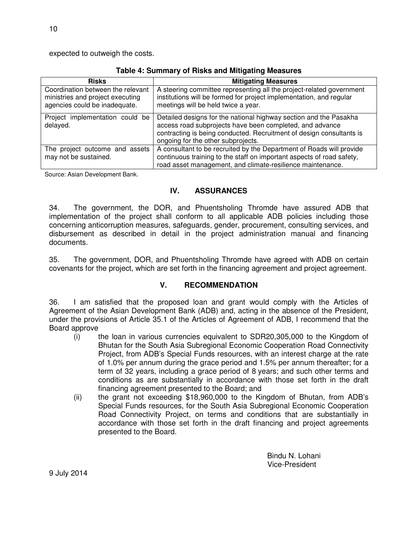expected to outweigh the costs.

| Table +. Summary or more and mingamly measures                                                         |                                                                                                                                                                                                                                             |  |  |
|--------------------------------------------------------------------------------------------------------|---------------------------------------------------------------------------------------------------------------------------------------------------------------------------------------------------------------------------------------------|--|--|
| <b>Risks</b>                                                                                           | <b>Mitigating Measures</b>                                                                                                                                                                                                                  |  |  |
| Coordination between the relevant<br>ministries and project executing<br>agencies could be inadequate. | A steering committee representing all the project-related government<br>institutions will be formed for project implementation, and regular<br>meetings will be held twice a year.                                                          |  |  |
| Project implementation could be<br>delayed.                                                            | Detailed designs for the national highway section and the Pasakha<br>access road subprojects have been completed, and advance<br>contracting is being conducted. Recruitment of design consultants is<br>ongoing for the other subprojects. |  |  |
| The project outcome and assets<br>may not be sustained.                                                | A consultant to be recruited by the Department of Roads will provide<br>continuous training to the staff on important aspects of road safety,<br>road asset management, and climate-resilience maintenance.                                 |  |  |

**Table 4: Summary of Risks and Mitigating Measures**

Source: Asian Development Bank.

#### **IV. ASSURANCES**

34. The government, the DOR, and Phuentsholing Thromde have assured ADB that implementation of the project shall conform to all applicable ADB policies including those concerning anticorruption measures, safeguards, gender, procurement, consulting services, and disbursement as described in detail in the project administration manual and financing documents.

35. The government, DOR, and Phuentsholing Thromde have agreed with ADB on certain covenants for the project, which are set forth in the financing agreement and project agreement.

#### **V. RECOMMENDATION**

36. I am satisfied that the proposed loan and grant would comply with the Articles of Agreement of the Asian Development Bank (ADB) and, acting in the absence of the President, under the provisions of Article 35.1 of the Articles of Agreement of ADB, I recommend that the Board approve

- (i) the loan in various currencies equivalent to SDR20,305,000 to the Kingdom of Bhutan for the South Asia Subregional Economic Cooperation Road Connectivity Project, from ADB's Special Funds resources, with an interest charge at the rate of 1.0% per annum during the grace period and 1.5% per annum thereafter; for a term of 32 years, including a grace period of 8 years; and such other terms and conditions as are substantially in accordance with those set forth in the draft financing agreement presented to the Board; and
- (ii) the grant not exceeding \$18,960,000 to the Kingdom of Bhutan, from ADB's Special Funds resources, for the South Asia Subregional Economic Cooperation Road Connectivity Project, on terms and conditions that are substantially in accordance with those set forth in the draft financing and project agreements presented to the Board.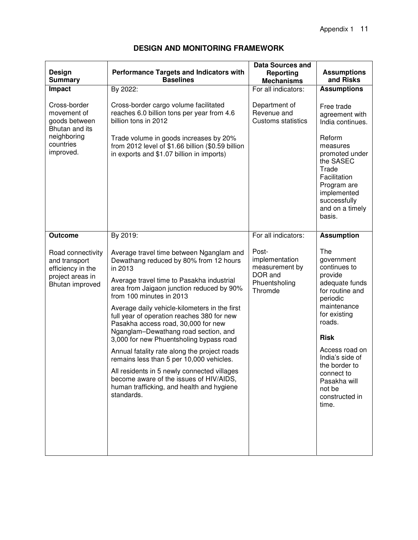| Design<br><b>Summary</b>                                                                       | <b>Performance Targets and Indicators with</b><br><b>Baselines</b>                                                                                                                                                                                                                                                                                                                                                                                                                                                                                                                                                                                                                            | <b>Data Sources and</b><br><b>Reporting</b><br><b>Mechanisms</b>                 | <b>Assumptions</b><br>and Risks                                                                                                                                                                                                                                                |
|------------------------------------------------------------------------------------------------|-----------------------------------------------------------------------------------------------------------------------------------------------------------------------------------------------------------------------------------------------------------------------------------------------------------------------------------------------------------------------------------------------------------------------------------------------------------------------------------------------------------------------------------------------------------------------------------------------------------------------------------------------------------------------------------------------|----------------------------------------------------------------------------------|--------------------------------------------------------------------------------------------------------------------------------------------------------------------------------------------------------------------------------------------------------------------------------|
| Impact                                                                                         | By 2022:                                                                                                                                                                                                                                                                                                                                                                                                                                                                                                                                                                                                                                                                                      | For all indicators:                                                              | <b>Assumptions</b>                                                                                                                                                                                                                                                             |
| Cross-border<br>movement of<br>goods between<br>Bhutan and its                                 | Cross-border cargo volume facilitated<br>reaches 6.0 billion tons per year from 4.6<br>billion tons in 2012                                                                                                                                                                                                                                                                                                                                                                                                                                                                                                                                                                                   | Department of<br>Revenue and<br><b>Customs statistics</b>                        | Free trade<br>agreement with<br>India continues.                                                                                                                                                                                                                               |
| neighboring<br>countries<br>improved.                                                          | Trade volume in goods increases by 20%<br>from 2012 level of \$1.66 billion (\$0.59 billion<br>in exports and \$1.07 billion in imports)                                                                                                                                                                                                                                                                                                                                                                                                                                                                                                                                                      |                                                                                  | Reform<br>measures<br>promoted under<br>the SASEC<br>Trade<br>Facilitation<br>Program are<br>implemented<br>successfully<br>and on a timely<br>basis.                                                                                                                          |
| <b>Outcome</b>                                                                                 | By 2019:                                                                                                                                                                                                                                                                                                                                                                                                                                                                                                                                                                                                                                                                                      | For all indicators:                                                              | <b>Assumption</b>                                                                                                                                                                                                                                                              |
| Road connectivity<br>and transport<br>efficiency in the<br>project areas in<br>Bhutan improved | Average travel time between Nganglam and<br>Dewathang reduced by 80% from 12 hours<br>in 2013<br>Average travel time to Pasakha industrial<br>area from Jaigaon junction reduced by 90%<br>from 100 minutes in 2013<br>Average daily vehicle-kilometers in the first<br>full year of operation reaches 380 for new<br>Pasakha access road, 30,000 for new<br>Nganglam-Dewathang road section, and<br>3,000 for new Phuentsholing bypass road<br>Annual fatality rate along the project roads<br>remains less than 5 per 10,000 vehicles.<br>All residents in 5 newly connected villages<br>become aware of the issues of HIV/AIDS,<br>human trafficking, and health and hygiene<br>standards. | Post-<br>implementation<br>measurement by<br>DOR and<br>Phuentsholing<br>Thromde | The<br>government<br>continues to<br>provide<br>adequate funds<br>for routine and<br>periodic<br>maintenance<br>for existing<br>roads.<br><b>Risk</b><br>Access road on<br>India's side of<br>the border to<br>connect to<br>Pasakha will<br>not be<br>constructed in<br>time. |

#### **DESIGN AND MONITORING FRAMEWORK**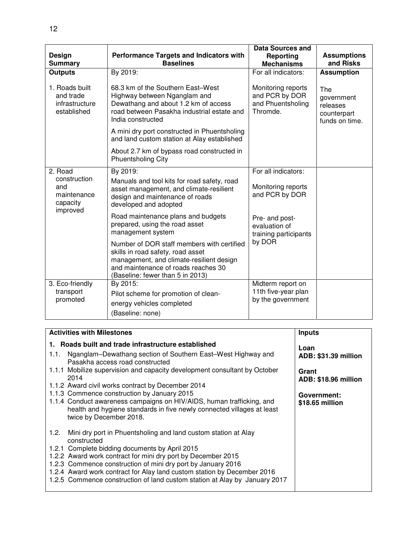|                                                              |                                                                                                                                                                                                        | <b>Data Sources and</b>                                               |                                                                |
|--------------------------------------------------------------|--------------------------------------------------------------------------------------------------------------------------------------------------------------------------------------------------------|-----------------------------------------------------------------------|----------------------------------------------------------------|
| Design                                                       | <b>Performance Targets and Indicators with</b>                                                                                                                                                         | <b>Reporting</b>                                                      | <b>Assumptions</b>                                             |
| <b>Summary</b>                                               | <b>Baselines</b>                                                                                                                                                                                       | <b>Mechanisms</b>                                                     | and Risks                                                      |
| <b>Outputs</b>                                               | By 2019:                                                                                                                                                                                               | For all indicators:                                                   | <b>Assumption</b>                                              |
| 1. Roads built<br>and trade<br>infrastructure<br>established | 68.3 km of the Southern East-West<br>Highway between Nganglam and<br>Dewathang and about 1.2 km of access<br>road between Pasakha industrial estate and<br>India constructed                           | Monitoring reports<br>and PCR by DOR<br>and Phuentsholing<br>Thromde. | The<br>government<br>releases<br>counterpart<br>funds on time. |
|                                                              | A mini dry port constructed in Phuentsholing<br>and land custom station at Alay established                                                                                                            |                                                                       |                                                                |
|                                                              | About 2.7 km of bypass road constructed in<br><b>Phuentsholing City</b>                                                                                                                                |                                                                       |                                                                |
| 2. Road                                                      | By 2019:                                                                                                                                                                                               | For all indicators:                                                   |                                                                |
| construction<br>and<br>maintenance<br>capacity               | Manuals and tool kits for road safety, road<br>asset management, and climate-resilient<br>design and maintenance of roads<br>developed and adopted                                                     | Monitoring reports<br>and PCR by DOR                                  |                                                                |
| improved                                                     | Road maintenance plans and budgets<br>prepared, using the road asset<br>management system                                                                                                              | Pre- and post-<br>evaluation of<br>training participants              |                                                                |
|                                                              | Number of DOR staff members with certified<br>skills in road safety, road asset<br>management, and climate-resilient design<br>and maintenance of roads reaches 30<br>(Baseline: fewer than 5 in 2013) | by DOR                                                                |                                                                |
| 3. Eco-friendly                                              | By 2015:                                                                                                                                                                                               | Midterm report on                                                     |                                                                |
| transport                                                    | Pilot scheme for promotion of clean-                                                                                                                                                                   | 11th five-year plan                                                   |                                                                |
| promoted                                                     | energy vehicles completed                                                                                                                                                                              | by the government                                                     |                                                                |
|                                                              | (Baseline: none)                                                                                                                                                                                       |                                                                       |                                                                |

| <b>Activities with Milestones</b>                                                                                                                                                                                                                                                                                                                                                                                                | <b>Inputs</b>                                                               |
|----------------------------------------------------------------------------------------------------------------------------------------------------------------------------------------------------------------------------------------------------------------------------------------------------------------------------------------------------------------------------------------------------------------------------------|-----------------------------------------------------------------------------|
| 1. Roads built and trade infrastructure established<br>Nganglam-Dewathang section of Southern East-West Highway and<br>1.1.<br>Pasakha access road constructed<br>1.1.1 Mobilize supervision and capacity development consultant by October<br>2014                                                                                                                                                                              | Loan<br><b>ADB: \$31.39 million</b><br>Grant<br><b>ADB: \$18.96 million</b> |
| 1.1.2 Award civil works contract by December 2014<br>1.1.3 Commence construction by January 2015<br>1.1.4 Conduct awareness campaigns on HIV/AIDS, human trafficking, and<br>health and hygiene standards in five newly connected villages at least<br>twice by December 2018.                                                                                                                                                   | Government:<br>\$18.65 million                                              |
| Mini dry port in Phuentsholing and land custom station at Alay<br>1.2.<br>constructed<br>1.2.1 Complete bidding documents by April 2015<br>1.2.2 Award work contract for mini dry port by December 2015<br>1.2.3 Commence construction of mini dry port by January 2016<br>1.2.4 Award work contract for Alay land custom station by December 2016<br>1.2.5 Commence construction of land custom station at Alay by January 2017 |                                                                             |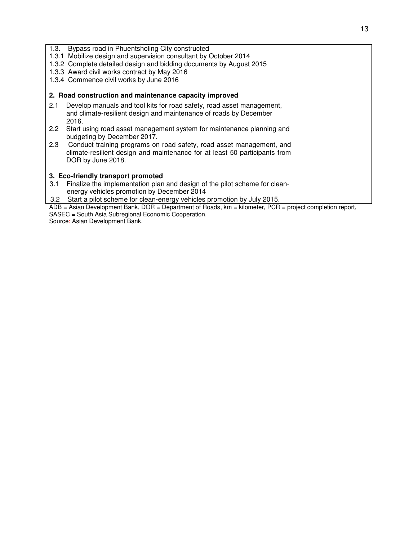| Bypass road in Phuentsholing City constructed<br>1.3.                                                                 |  |
|-----------------------------------------------------------------------------------------------------------------------|--|
| 1.3.1 Mobilize design and supervision consultant by October 2014                                                      |  |
| 1.3.2 Complete detailed design and bidding documents by August 2015                                                   |  |
| 1.3.3 Award civil works contract by May 2016                                                                          |  |
| 1.3.4 Commence civil works by June 2016                                                                               |  |
| 2. Road construction and maintenance capacity improved                                                                |  |
|                                                                                                                       |  |
| Develop manuals and tool kits for road safety, road asset management,<br>2.1                                          |  |
| and climate-resilient design and maintenance of roads by December                                                     |  |
| 2016.                                                                                                                 |  |
| Start using road asset management system for maintenance planning and<br>$2.2^{\circ}$                                |  |
| budgeting by December 2017.                                                                                           |  |
| 2.3<br>Conduct training programs on road safety, road asset management, and                                           |  |
| climate-resilient design and maintenance for at least 50 participants from                                            |  |
| DOR by June 2018.                                                                                                     |  |
| 3. Eco-friendly transport promoted                                                                                    |  |
|                                                                                                                       |  |
| Finalize the implementation plan and design of the pilot scheme for clean-<br>3.1                                     |  |
| energy vehicles promotion by December 2014                                                                            |  |
| Start a pilot scheme for clean-energy vehicles promotion by July 2015.<br>3.2                                         |  |
| $ADB = Asian Development Bank$ , $DOR = Department of Roads$ , $km = kilometer$ , $PCR = project completion report$ , |  |

SASEC = South Asia Subregional Economic Cooperation. Source: Asian Development Bank.